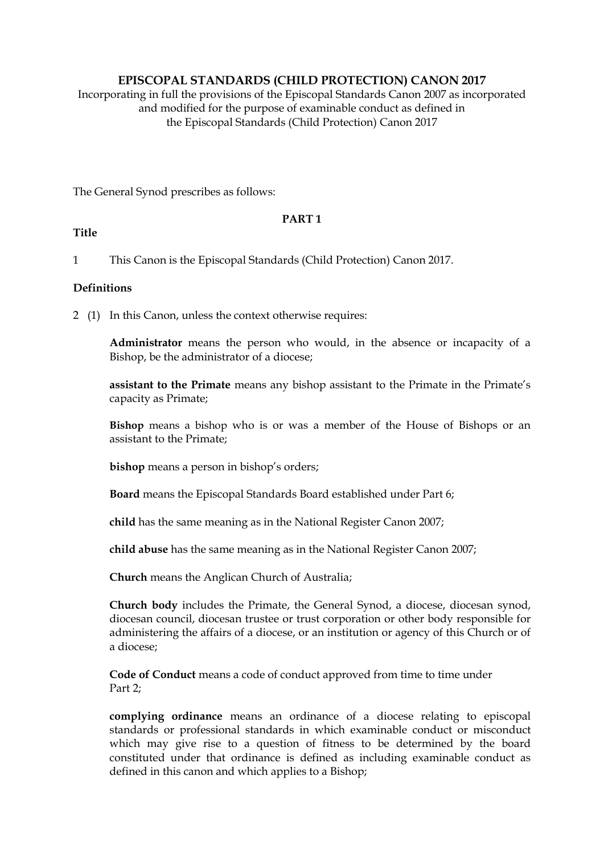# **EPISCOPAL STANDARDS (CHILD PROTECTION) CANON 2017**

Incorporating in full the provisions of the Episcopal Standards Canon 2007 as incorporated and modified for the purpose of examinable conduct as defined in the Episcopal Standards (Child Protection) Canon 2017

The General Synod prescribes as follows:

## **PART 1**

## **Title**

1 This Canon is the Episcopal Standards (Child Protection) Canon 2017.

## **Definitions**

2 (1) In this Canon, unless the context otherwise requires:

**Administrator** means the person who would, in the absence or incapacity of a Bishop, be the administrator of a diocese;

**assistant to the Primate** means any bishop assistant to the Primate in the Primate's capacity as Primate;

**Bishop** means a bishop who is or was a member of the House of Bishops or an assistant to the Primate;

**bishop** means a person in bishop's orders;

**Board** means the Episcopal Standards Board established under Part 6;

**child** has the same meaning as in the National Register Canon 2007;

**child abuse** has the same meaning as in the National Register Canon 2007;

**Church** means the Anglican Church of Australia;

**Church body** includes the Primate, the General Synod, a diocese, diocesan synod, diocesan council, diocesan trustee or trust corporation or other body responsible for administering the affairs of a diocese, or an institution or agency of this Church or of a diocese;

**Code of Conduct** means a code of conduct approved from time to time under Part 2;

**complying ordinance** means an ordinance of a diocese relating to episcopal standards or professional standards in which examinable conduct or misconduct which may give rise to a question of fitness to be determined by the board constituted under that ordinance is defined as including examinable conduct as defined in this canon and which applies to a Bishop;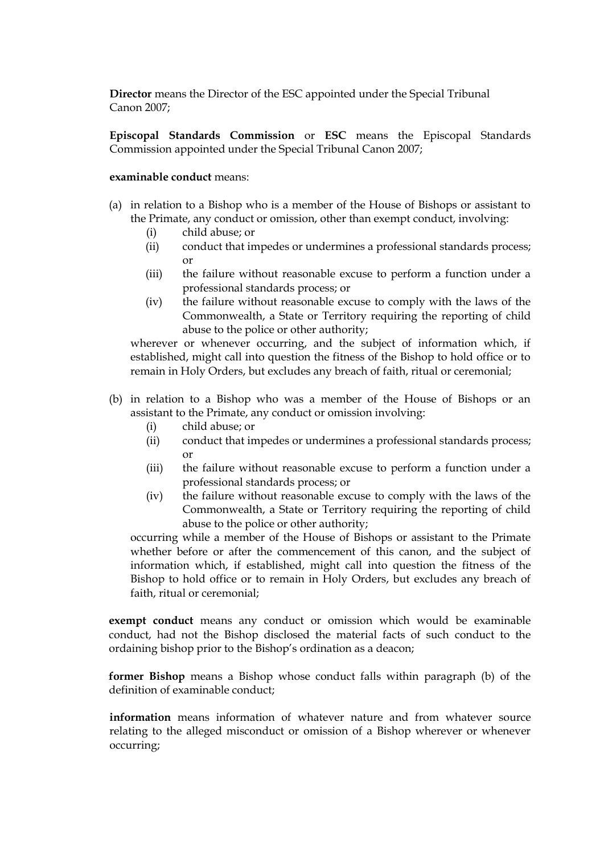**Director** means the Director of the ESC appointed under the Special Tribunal Canon 2007;

**Episcopal Standards Commission** or **ESC** means the Episcopal Standards Commission appointed under the Special Tribunal Canon 2007;

#### **examinable conduct** means:

- (a) in relation to a Bishop who is a member of the House of Bishops or assistant to the Primate, any conduct or omission, other than exempt conduct, involving:
	- (i) child abuse; or
	- (ii) conduct that impedes or undermines a professional standards process; or
	- (iii) the failure without reasonable excuse to perform a function under a professional standards process; or
	- (iv) the failure without reasonable excuse to comply with the laws of the Commonwealth, a State or Territory requiring the reporting of child abuse to the police or other authority;

wherever or whenever occurring, and the subject of information which, if established, might call into question the fitness of the Bishop to hold office or to remain in Holy Orders, but excludes any breach of faith, ritual or ceremonial;

- (b) in relation to a Bishop who was a member of the House of Bishops or an assistant to the Primate, any conduct or omission involving:
	- (i) child abuse; or
	- (ii) conduct that impedes or undermines a professional standards process; or
	- (iii) the failure without reasonable excuse to perform a function under a professional standards process; or
	- (iv) the failure without reasonable excuse to comply with the laws of the Commonwealth, a State or Territory requiring the reporting of child abuse to the police or other authority;

occurring while a member of the House of Bishops or assistant to the Primate whether before or after the commencement of this canon, and the subject of information which, if established, might call into question the fitness of the Bishop to hold office or to remain in Holy Orders, but excludes any breach of faith, ritual or ceremonial;

**exempt conduct** means any conduct or omission which would be examinable conduct, had not the Bishop disclosed the material facts of such conduct to the ordaining bishop prior to the Bishop's ordination as a deacon;

**former Bishop** means a Bishop whose conduct falls within paragraph (b) of the definition of examinable conduct;

**information** means information of whatever nature and from whatever source relating to the alleged misconduct or omission of a Bishop wherever or whenever occurring;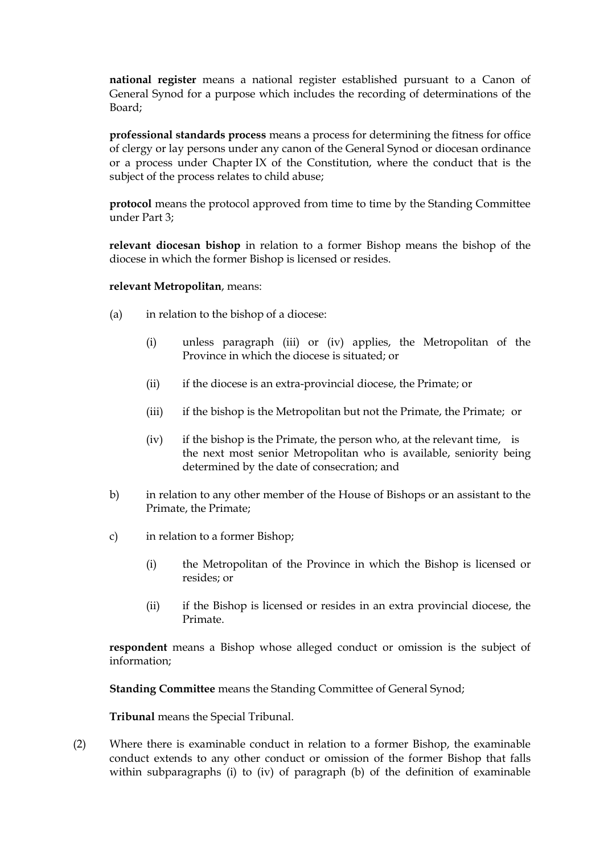**national register** means a national register established pursuant to a Canon of General Synod for a purpose which includes the recording of determinations of the Board;

**professional standards process** means a process for determining the fitness for office of clergy or lay persons under any canon of the General Synod or diocesan ordinance or a process under Chapter IX of the Constitution, where the conduct that is the subject of the process relates to child abuse;

**protocol** means the protocol approved from time to time by the Standing Committee under Part 3;

**relevant diocesan bishop** in relation to a former Bishop means the bishop of the diocese in which the former Bishop is licensed or resides.

#### **relevant Metropolitan**, means:

- (a) in relation to the bishop of a diocese:
	- (i) unless paragraph (iii) or (iv) applies, the Metropolitan of the Province in which the diocese is situated; or
	- (ii) if the diocese is an extra-provincial diocese, the Primate; or
	- (iii) if the bishop is the Metropolitan but not the Primate, the Primate; or
	- (iv) if the bishop is the Primate, the person who, at the relevant time, is the next most senior Metropolitan who is available, seniority being determined by the date of consecration; and
- b) in relation to any other member of the House of Bishops or an assistant to the Primate, the Primate;
- c) in relation to a former Bishop;
	- (i) the Metropolitan of the Province in which the Bishop is licensed or resides; or
	- (ii) if the Bishop is licensed or resides in an extra provincial diocese, the Primate.

**respondent** means a Bishop whose alleged conduct or omission is the subject of information;

**Standing Committee** means the Standing Committee of General Synod;

**Tribunal** means the Special Tribunal.

(2) Where there is examinable conduct in relation to a former Bishop, the examinable conduct extends to any other conduct or omission of the former Bishop that falls within subparagraphs (i) to (iv) of paragraph (b) of the definition of examinable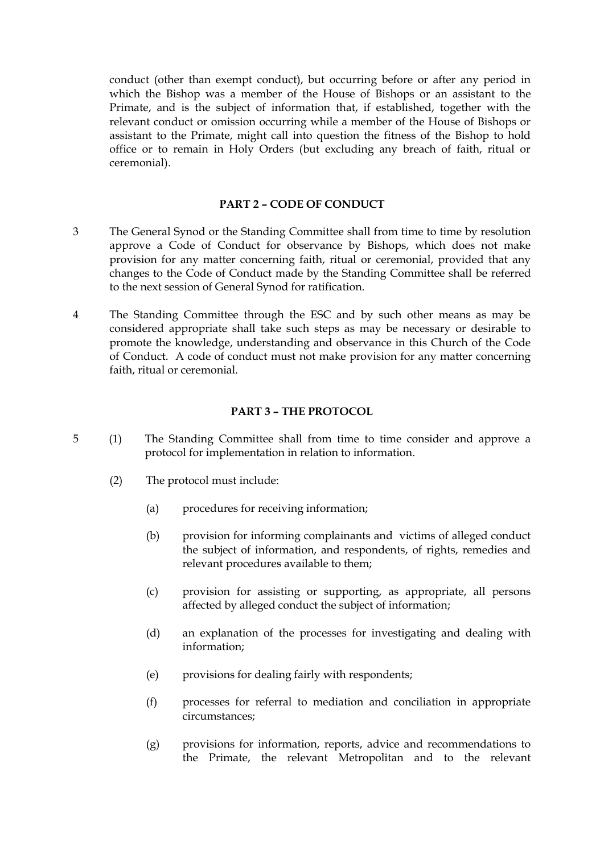conduct (other than exempt conduct), but occurring before or after any period in which the Bishop was a member of the House of Bishops or an assistant to the Primate, and is the subject of information that, if established, together with the relevant conduct or omission occurring while a member of the House of Bishops or assistant to the Primate, might call into question the fitness of the Bishop to hold office or to remain in Holy Orders (but excluding any breach of faith, ritual or ceremonial).

# **PART 2 – CODE OF CONDUCT**

- 3 The General Synod or the Standing Committee shall from time to time by resolution approve a Code of Conduct for observance by Bishops, which does not make provision for any matter concerning faith, ritual or ceremonial, provided that any changes to the Code of Conduct made by the Standing Committee shall be referred to the next session of General Synod for ratification.
- 4 The Standing Committee through the ESC and by such other means as may be considered appropriate shall take such steps as may be necessary or desirable to promote the knowledge, understanding and observance in this Church of the Code of Conduct. A code of conduct must not make provision for any matter concerning faith, ritual or ceremonial.

#### **PART 3 – THE PROTOCOL**

- 5 (1) The Standing Committee shall from time to time consider and approve a protocol for implementation in relation to information.
	- (2) The protocol must include:
		- (a) procedures for receiving information;
		- (b) provision for informing complainants and victims of alleged conduct the subject of information, and respondents, of rights, remedies and relevant procedures available to them;
		- (c) provision for assisting or supporting, as appropriate, all persons affected by alleged conduct the subject of information;
		- (d) an explanation of the processes for investigating and dealing with information;
		- (e) provisions for dealing fairly with respondents;
		- (f) processes for referral to mediation and conciliation in appropriate circumstances;
		- (g) provisions for information, reports, advice and recommendations to the Primate, the relevant Metropolitan and to the relevant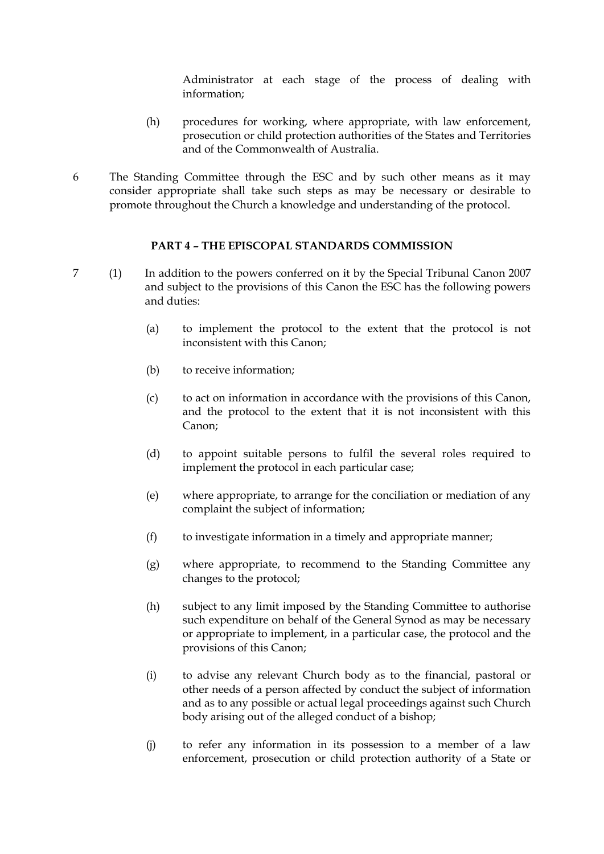Administrator at each stage of the process of dealing with information;

- (h) procedures for working, where appropriate, with law enforcement, prosecution or child protection authorities of the States and Territories and of the Commonwealth of Australia.
- 6 The Standing Committee through the ESC and by such other means as it may consider appropriate shall take such steps as may be necessary or desirable to promote throughout the Church a knowledge and understanding of the protocol.

#### **PART 4 – THE EPISCOPAL STANDARDS COMMISSION**

- 7 (1) In addition to the powers conferred on it by the Special Tribunal Canon 2007 and subject to the provisions of this Canon the ESC has the following powers and duties:
	- (a) to implement the protocol to the extent that the protocol is not inconsistent with this Canon;
	- (b) to receive information;
	- (c) to act on information in accordance with the provisions of this Canon, and the protocol to the extent that it is not inconsistent with this Canon;
	- (d) to appoint suitable persons to fulfil the several roles required to implement the protocol in each particular case;
	- (e) where appropriate, to arrange for the conciliation or mediation of any complaint the subject of information;
	- (f) to investigate information in a timely and appropriate manner;
	- (g) where appropriate, to recommend to the Standing Committee any changes to the protocol;
	- (h) subject to any limit imposed by the Standing Committee to authorise such expenditure on behalf of the General Synod as may be necessary or appropriate to implement, in a particular case, the protocol and the provisions of this Canon;
	- (i) to advise any relevant Church body as to the financial, pastoral or other needs of a person affected by conduct the subject of information and as to any possible or actual legal proceedings against such Church body arising out of the alleged conduct of a bishop;
	- (j) to refer any information in its possession to a member of a law enforcement, prosecution or child protection authority of a State or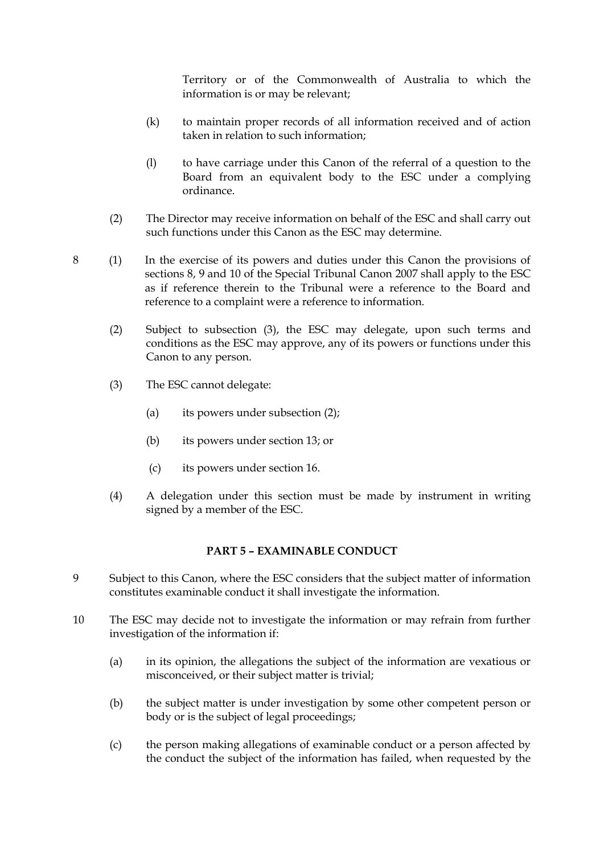Territory or of the Commonwealth of Australia to which the information is or may be relevant;

- (k) to maintain proper records of all information received and of action taken in relation to such information;
- (l) to have carriage under this Canon of the referral of a question to the Board from an equivalent body to the ESC under a complying ordinance.
- (2) The Director may receive information on behalf of the ESC and shall carry out such functions under this Canon as the ESC may determine.
- 8 (1) In the exercise of its powers and duties under this Canon the provisions of sections 8, 9 and 10 of the Special Tribunal Canon 2007 shall apply to the ESC as if reference therein to the Tribunal were a reference to the Board and reference to a complaint were a reference to information.
	- (2) Subject to subsection (3), the ESC may delegate, upon such terms and conditions as the ESC may approve, any of its powers or functions under this Canon to any person.
	- (3) The ESC cannot delegate:
		- (a) its powers under subsection (2);
		- (b) its powers under section 13; or
		- (c) its powers under section 16.
	- (4) A delegation under this section must be made by instrument in writing signed by a member of the ESC.

## **PART 5 – EXAMINABLE CONDUCT**

- 9 Subject to this Canon, where the ESC considers that the subject matter of information constitutes examinable conduct it shall investigate the information.
- 10 The ESC may decide not to investigate the information or may refrain from further investigation of the information if:
	- (a) in its opinion, the allegations the subject of the information are vexatious or misconceived, or their subject matter is trivial;
	- (b) the subject matter is under investigation by some other competent person or body or is the subject of legal proceedings;
	- (c) the person making allegations of examinable conduct or a person affected by the conduct the subject of the information has failed, when requested by the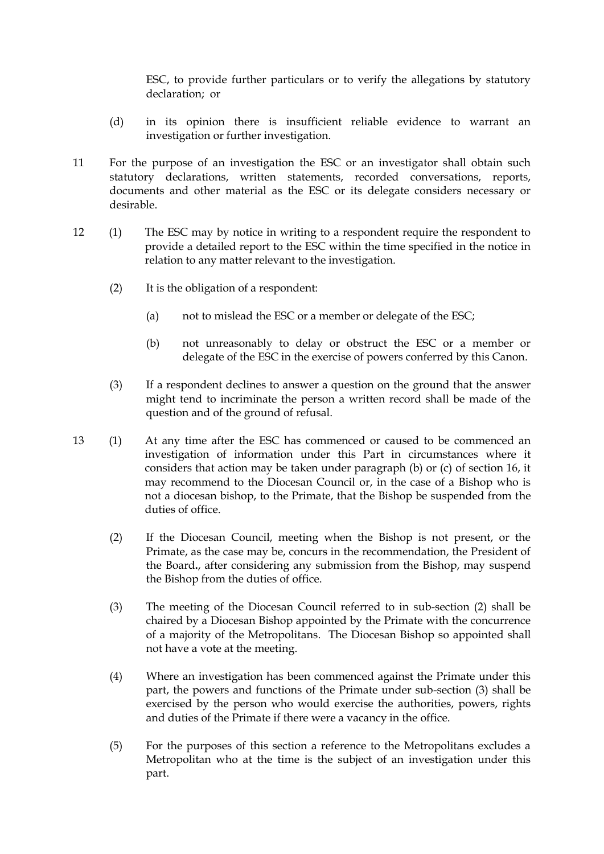ESC, to provide further particulars or to verify the allegations by statutory declaration; or

- (d) in its opinion there is insufficient reliable evidence to warrant an investigation or further investigation.
- 11 For the purpose of an investigation the ESC or an investigator shall obtain such statutory declarations, written statements, recorded conversations, reports, documents and other material as the ESC or its delegate considers necessary or desirable.
- 12 (1) The ESC may by notice in writing to a respondent require the respondent to provide a detailed report to the ESC within the time specified in the notice in relation to any matter relevant to the investigation.
	- (2) It is the obligation of a respondent:
		- (a) not to mislead the ESC or a member or delegate of the ESC;
		- (b) not unreasonably to delay or obstruct the ESC or a member or delegate of the ESC in the exercise of powers conferred by this Canon.
	- (3) If a respondent declines to answer a question on the ground that the answer might tend to incriminate the person a written record shall be made of the question and of the ground of refusal.
- 13 (1) At any time after the ESC has commenced or caused to be commenced an investigation of information under this Part in circumstances where it considers that action may be taken under paragraph (b) or (c) of section 16, it may recommend to the Diocesan Council or, in the case of a Bishop who is not a diocesan bishop, to the Primate, that the Bishop be suspended from the duties of office.
	- (2) If the Diocesan Council, meeting when the Bishop is not present, or the Primate, as the case may be, concurs in the recommendation, the President of the Board**.**, after considering any submission from the Bishop, may suspend the Bishop from the duties of office.
	- (3) The meeting of the Diocesan Council referred to in sub-section (2) shall be chaired by a Diocesan Bishop appointed by the Primate with the concurrence of a majority of the Metropolitans. The Diocesan Bishop so appointed shall not have a vote at the meeting.
	- (4) Where an investigation has been commenced against the Primate under this part, the powers and functions of the Primate under sub-section (3) shall be exercised by the person who would exercise the authorities, powers, rights and duties of the Primate if there were a vacancy in the office.
	- (5) For the purposes of this section a reference to the Metropolitans excludes a Metropolitan who at the time is the subject of an investigation under this part.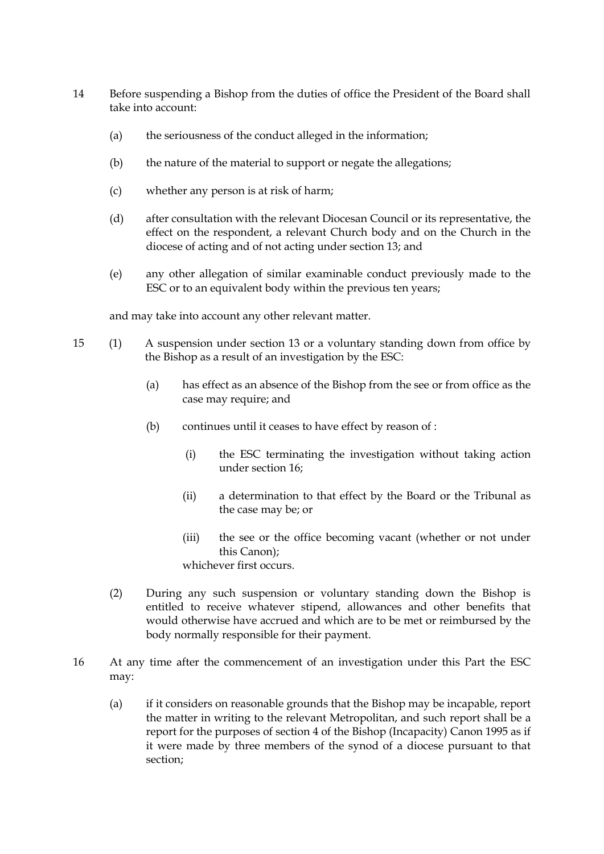- 14 Before suspending a Bishop from the duties of office the President of the Board shall take into account:
	- (a) the seriousness of the conduct alleged in the information;
	- (b) the nature of the material to support or negate the allegations;
	- (c) whether any person is at risk of harm;
	- (d) after consultation with the relevant Diocesan Council or its representative, the effect on the respondent, a relevant Church body and on the Church in the diocese of acting and of not acting under section 13; and
	- (e) any other allegation of similar examinable conduct previously made to the ESC or to an equivalent body within the previous ten years;

and may take into account any other relevant matter.

- 15 (1) A suspension under section 13 or a voluntary standing down from office by the Bishop as a result of an investigation by the ESC:
	- (a) has effect as an absence of the Bishop from the see or from office as the case may require; and
	- (b) continues until it ceases to have effect by reason of :
		- (i) the ESC terminating the investigation without taking action under section 16;
		- (ii) a determination to that effect by the Board or the Tribunal as the case may be; or
		- (iii) the see or the office becoming vacant (whether or not under this Canon);

whichever first occurs.

- (2) During any such suspension or voluntary standing down the Bishop is entitled to receive whatever stipend, allowances and other benefits that would otherwise have accrued and which are to be met or reimbursed by the body normally responsible for their payment.
- 16 At any time after the commencement of an investigation under this Part the ESC may:
	- (a) if it considers on reasonable grounds that the Bishop may be incapable, report the matter in writing to the relevant Metropolitan, and such report shall be a report for the purposes of section 4 of the Bishop (Incapacity) Canon 1995 as if it were made by three members of the synod of a diocese pursuant to that section;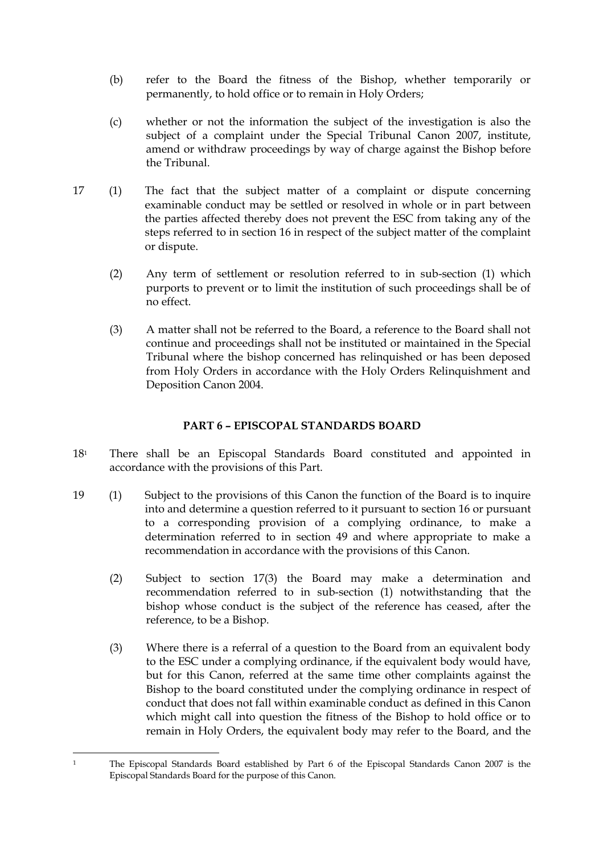- (b) refer to the Board the fitness of the Bishop, whether temporarily or permanently, to hold office or to remain in Holy Orders;
- (c) whether or not the information the subject of the investigation is also the subject of a complaint under the Special Tribunal Canon 2007, institute, amend or withdraw proceedings by way of charge against the Bishop before the Tribunal.
- 17 (1) The fact that the subject matter of a complaint or dispute concerning examinable conduct may be settled or resolved in whole or in part between the parties affected thereby does not prevent the ESC from taking any of the steps referred to in section 16 in respect of the subject matter of the complaint or dispute.
	- (2) Any term of settlement or resolution referred to in sub-section (1) which purports to prevent or to limit the institution of such proceedings shall be of no effect.
	- (3) A matter shall not be referred to the Board, a reference to the Board shall not continue and proceedings shall not be instituted or maintained in the Special Tribunal where the bishop concerned has relinquished or has been deposed from Holy Orders in accordance with the Holy Orders Relinquishment and Deposition Canon 2004.

## **PART 6 – EPISCOPAL STANDARDS BOARD**

- 18<sup>1</sup> There shall be an Episcopal Standards Board constituted and appointed in accordance with the provisions of this Part.
- 19 (1) Subject to the provisions of this Canon the function of the Board is to inquire into and determine a question referred to it pursuant to section 16 or pursuant to a corresponding provision of a complying ordinance, to make a determination referred to in section 49 and where appropriate to make a recommendation in accordance with the provisions of this Canon.
	- (2) Subject to section 17(3) the Board may make a determination and recommendation referred to in sub-section (1) notwithstanding that the bishop whose conduct is the subject of the reference has ceased, after the reference, to be a Bishop.
	- (3) Where there is a referral of a question to the Board from an equivalent body to the ESC under a complying ordinance, if the equivalent body would have, but for this Canon, referred at the same time other complaints against the Bishop to the board constituted under the complying ordinance in respect of conduct that does not fall within examinable conduct as defined in this Canon which might call into question the fitness of the Bishop to hold office or to remain in Holy Orders, the equivalent body may refer to the Board, and the

<sup>-</sup><sup>1</sup> The Episcopal Standards Board established by Part 6 of the Episcopal Standards Canon 2007 is the Episcopal Standards Board for the purpose of this Canon.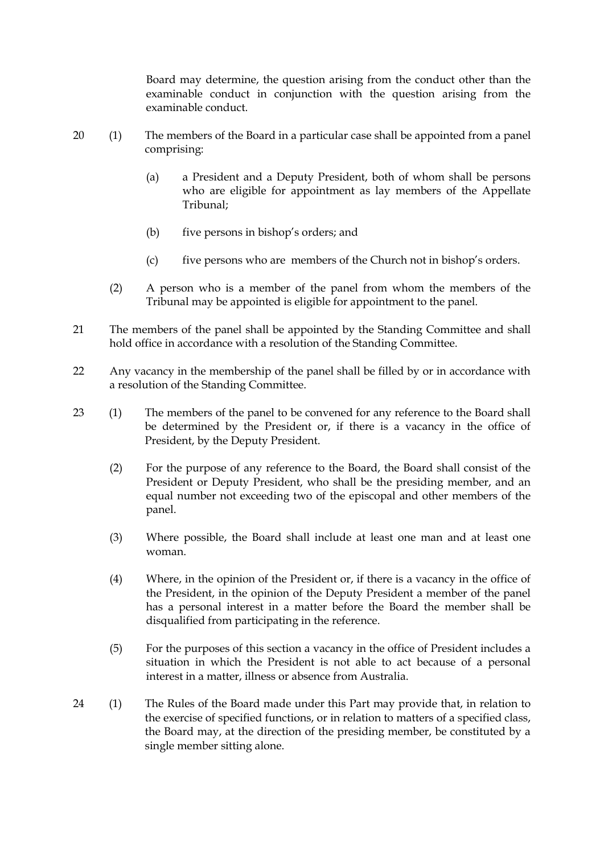Board may determine, the question arising from the conduct other than the examinable conduct in conjunction with the question arising from the examinable conduct.

- 20 (1) The members of the Board in a particular case shall be appointed from a panel comprising:
	- (a) a President and a Deputy President, both of whom shall be persons who are eligible for appointment as lay members of the Appellate Tribunal;
	- (b) five persons in bishop's orders; and
	- (c) five persons who are members of the Church not in bishop's orders.
	- (2) A person who is a member of the panel from whom the members of the Tribunal may be appointed is eligible for appointment to the panel.
- 21 The members of the panel shall be appointed by the Standing Committee and shall hold office in accordance with a resolution of the Standing Committee.
- 22 Any vacancy in the membership of the panel shall be filled by or in accordance with a resolution of the Standing Committee.
- 23 (1) The members of the panel to be convened for any reference to the Board shall be determined by the President or, if there is a vacancy in the office of President, by the Deputy President.
	- (2) For the purpose of any reference to the Board, the Board shall consist of the President or Deputy President, who shall be the presiding member, and an equal number not exceeding two of the episcopal and other members of the panel.
	- (3) Where possible, the Board shall include at least one man and at least one woman.
	- (4) Where, in the opinion of the President or, if there is a vacancy in the office of the President, in the opinion of the Deputy President a member of the panel has a personal interest in a matter before the Board the member shall be disqualified from participating in the reference.
	- (5) For the purposes of this section a vacancy in the office of President includes a situation in which the President is not able to act because of a personal interest in a matter, illness or absence from Australia.
- 24 (1) The Rules of the Board made under this Part may provide that, in relation to the exercise of specified functions, or in relation to matters of a specified class, the Board may, at the direction of the presiding member, be constituted by a single member sitting alone.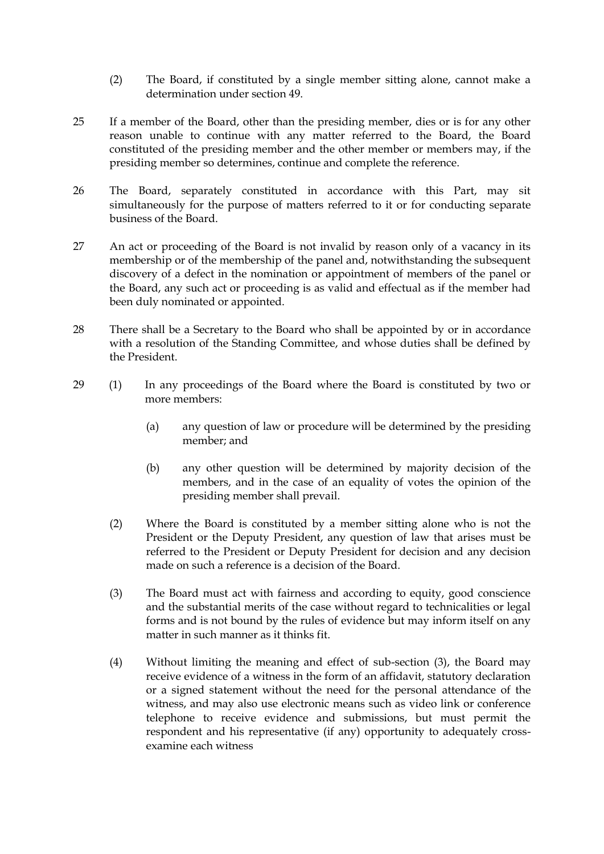- (2) The Board, if constituted by a single member sitting alone, cannot make a determination under section 49.
- 25 If a member of the Board, other than the presiding member, dies or is for any other reason unable to continue with any matter referred to the Board, the Board constituted of the presiding member and the other member or members may, if the presiding member so determines, continue and complete the reference.
- 26 The Board, separately constituted in accordance with this Part, may sit simultaneously for the purpose of matters referred to it or for conducting separate business of the Board.
- 27 An act or proceeding of the Board is not invalid by reason only of a vacancy in its membership or of the membership of the panel and, notwithstanding the subsequent discovery of a defect in the nomination or appointment of members of the panel or the Board, any such act or proceeding is as valid and effectual as if the member had been duly nominated or appointed.
- 28 There shall be a Secretary to the Board who shall be appointed by or in accordance with a resolution of the Standing Committee, and whose duties shall be defined by the President.
- 29 (1) In any proceedings of the Board where the Board is constituted by two or more members:
	- (a) any question of law or procedure will be determined by the presiding member; and
	- (b) any other question will be determined by majority decision of the members, and in the case of an equality of votes the opinion of the presiding member shall prevail.
	- (2) Where the Board is constituted by a member sitting alone who is not the President or the Deputy President, any question of law that arises must be referred to the President or Deputy President for decision and any decision made on such a reference is a decision of the Board.
	- (3) The Board must act with fairness and according to equity, good conscience and the substantial merits of the case without regard to technicalities or legal forms and is not bound by the rules of evidence but may inform itself on any matter in such manner as it thinks fit.
	- (4) Without limiting the meaning and effect of sub-section (3), the Board may receive evidence of a witness in the form of an affidavit, statutory declaration or a signed statement without the need for the personal attendance of the witness, and may also use electronic means such as video link or conference telephone to receive evidence and submissions, but must permit the respondent and his representative (if any) opportunity to adequately crossexamine each witness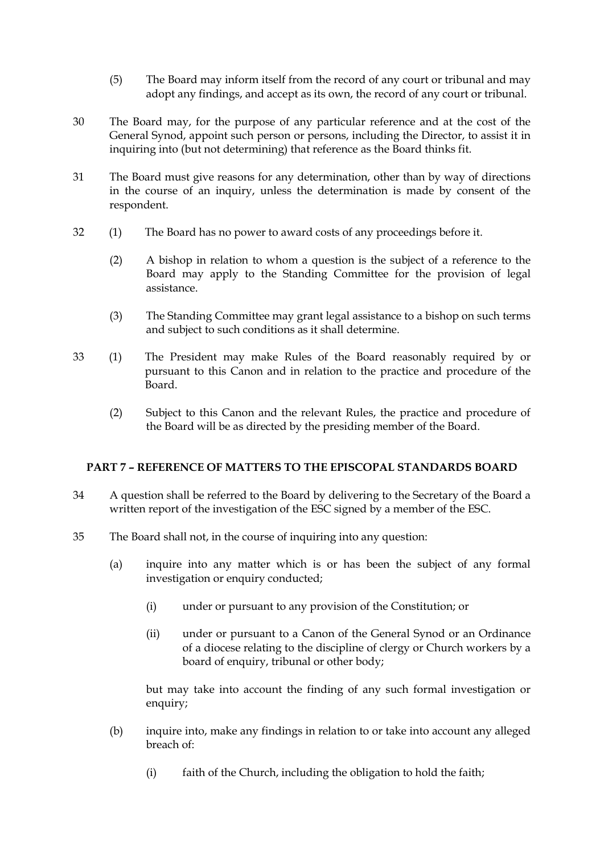- (5) The Board may inform itself from the record of any court or tribunal and may adopt any findings, and accept as its own, the record of any court or tribunal.
- 30 The Board may, for the purpose of any particular reference and at the cost of the General Synod, appoint such person or persons, including the Director, to assist it in inquiring into (but not determining) that reference as the Board thinks fit.
- 31 The Board must give reasons for any determination, other than by way of directions in the course of an inquiry, unless the determination is made by consent of the respondent.
- 32 (1) The Board has no power to award costs of any proceedings before it.
	- (2) A bishop in relation to whom a question is the subject of a reference to the Board may apply to the Standing Committee for the provision of legal assistance.
	- (3) The Standing Committee may grant legal assistance to a bishop on such terms and subject to such conditions as it shall determine.
- 33 (1) The President may make Rules of the Board reasonably required by or pursuant to this Canon and in relation to the practice and procedure of the **Board** 
	- (2) Subject to this Canon and the relevant Rules, the practice and procedure of the Board will be as directed by the presiding member of the Board.

## **PART 7 – REFERENCE OF MATTERS TO THE EPISCOPAL STANDARDS BOARD**

- 34 A question shall be referred to the Board by delivering to the Secretary of the Board a written report of the investigation of the ESC signed by a member of the ESC.
- 35 The Board shall not, in the course of inquiring into any question:
	- (a) inquire into any matter which is or has been the subject of any formal investigation or enquiry conducted;
		- (i) under or pursuant to any provision of the Constitution; or
		- (ii) under or pursuant to a Canon of the General Synod or an Ordinance of a diocese relating to the discipline of clergy or Church workers by a board of enquiry, tribunal or other body;

but may take into account the finding of any such formal investigation or enquiry;

- (b) inquire into, make any findings in relation to or take into account any alleged breach of:
	- (i) faith of the Church, including the obligation to hold the faith;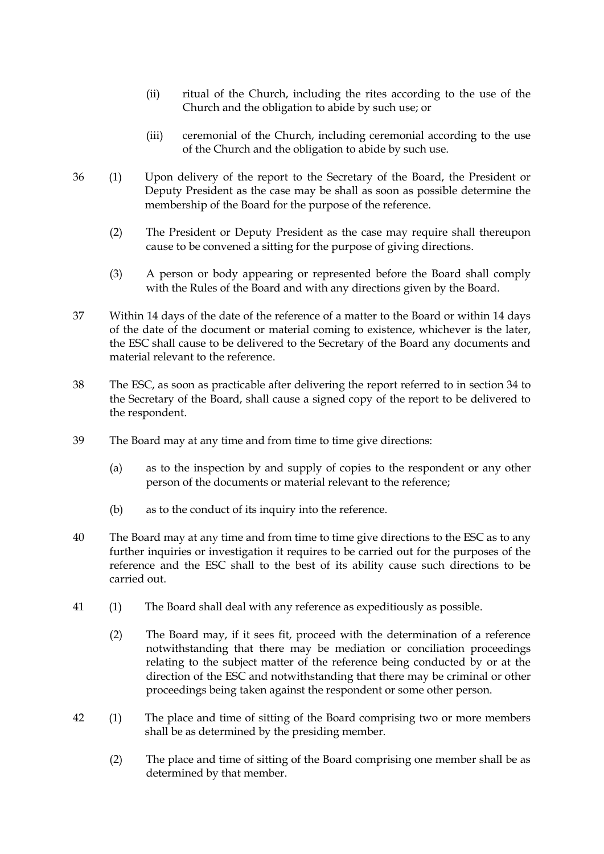- (ii) ritual of the Church, including the rites according to the use of the Church and the obligation to abide by such use; or
- (iii) ceremonial of the Church, including ceremonial according to the use of the Church and the obligation to abide by such use.
- 36 (1) Upon delivery of the report to the Secretary of the Board, the President or Deputy President as the case may be shall as soon as possible determine the membership of the Board for the purpose of the reference.
	- (2) The President or Deputy President as the case may require shall thereupon cause to be convened a sitting for the purpose of giving directions.
	- (3) A person or body appearing or represented before the Board shall comply with the Rules of the Board and with any directions given by the Board.
- 37 Within 14 days of the date of the reference of a matter to the Board or within 14 days of the date of the document or material coming to existence, whichever is the later, the ESC shall cause to be delivered to the Secretary of the Board any documents and material relevant to the reference.
- 38 The ESC, as soon as practicable after delivering the report referred to in section 34 to the Secretary of the Board, shall cause a signed copy of the report to be delivered to the respondent.
- 39 The Board may at any time and from time to time give directions:
	- (a) as to the inspection by and supply of copies to the respondent or any other person of the documents or material relevant to the reference;
	- (b) as to the conduct of its inquiry into the reference.
- 40 The Board may at any time and from time to time give directions to the ESC as to any further inquiries or investigation it requires to be carried out for the purposes of the reference and the ESC shall to the best of its ability cause such directions to be carried out.
- 41 (1) The Board shall deal with any reference as expeditiously as possible.
	- (2) The Board may, if it sees fit, proceed with the determination of a reference notwithstanding that there may be mediation or conciliation proceedings relating to the subject matter of the reference being conducted by or at the direction of the ESC and notwithstanding that there may be criminal or other proceedings being taken against the respondent or some other person.
- 42 (1) The place and time of sitting of the Board comprising two or more members shall be as determined by the presiding member.
	- (2) The place and time of sitting of the Board comprising one member shall be as determined by that member.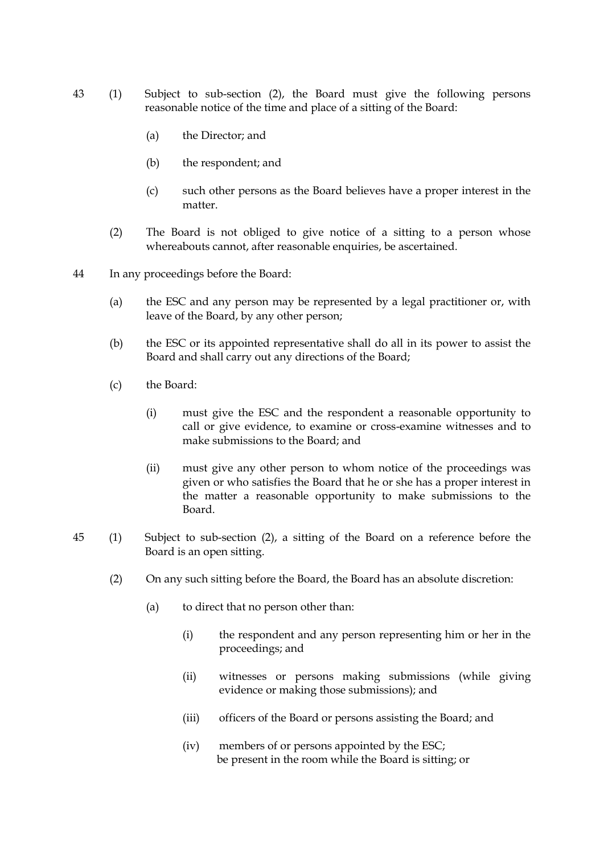- 43 (1) Subject to sub-section (2), the Board must give the following persons reasonable notice of the time and place of a sitting of the Board:
	- (a) the Director; and
	- (b) the respondent; and
	- (c) such other persons as the Board believes have a proper interest in the matter.
	- (2) The Board is not obliged to give notice of a sitting to a person whose whereabouts cannot, after reasonable enquiries, be ascertained.
- 44 In any proceedings before the Board:
	- (a) the ESC and any person may be represented by a legal practitioner or, with leave of the Board, by any other person;
	- (b) the ESC or its appointed representative shall do all in its power to assist the Board and shall carry out any directions of the Board;
	- (c) the Board:
		- (i) must give the ESC and the respondent a reasonable opportunity to call or give evidence, to examine or cross-examine witnesses and to make submissions to the Board; and
		- (ii) must give any other person to whom notice of the proceedings was given or who satisfies the Board that he or she has a proper interest in the matter a reasonable opportunity to make submissions to the Board.
- 45 (1) Subject to sub-section (2), a sitting of the Board on a reference before the Board is an open sitting.
	- (2) On any such sitting before the Board, the Board has an absolute discretion:
		- (a) to direct that no person other than:
			- (i) the respondent and any person representing him or her in the proceedings; and
			- (ii) witnesses or persons making submissions (while giving evidence or making those submissions); and
			- (iii) officers of the Board or persons assisting the Board; and
			- (iv) members of or persons appointed by the ESC; be present in the room while the Board is sitting; or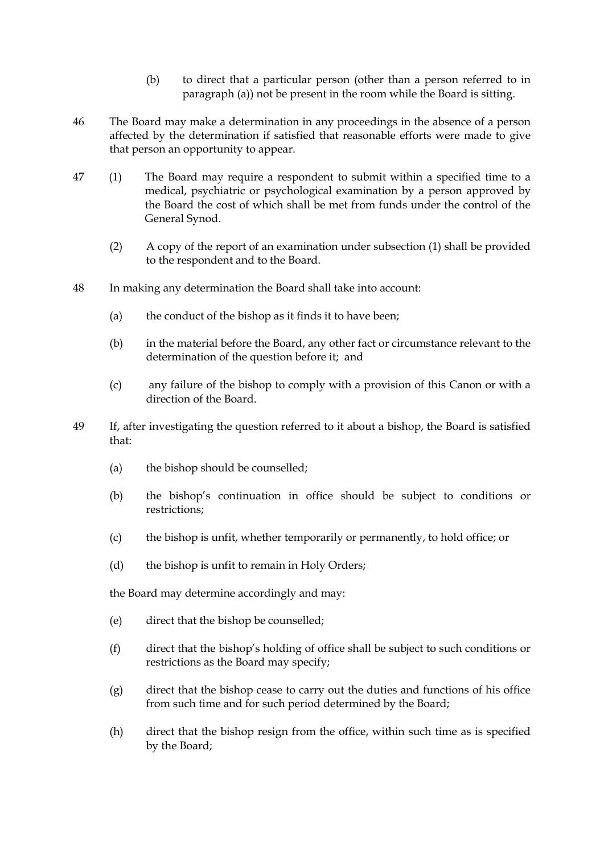- (b) to direct that a particular person (other than a person referred to in paragraph (a)) not be present in the room while the Board is sitting.
- 46 The Board may make a determination in any proceedings in the absence of a person affected by the determination if satisfied that reasonable efforts were made to give that person an opportunity to appear.
- 47 (1) The Board may require a respondent to submit within a specified time to a medical, psychiatric or psychological examination by a person approved by the Board the cost of which shall be met from funds under the control of the General Synod.
	- (2) A copy of the report of an examination under subsection (1) shall be provided to the respondent and to the Board.
- 48 In making any determination the Board shall take into account:
	- (a) the conduct of the bishop as it finds it to have been;
	- (b) in the material before the Board, any other fact or circumstance relevant to the determination of the question before it; and
	- (c) any failure of the bishop to comply with a provision of this Canon or with a direction of the Board.
- 49 If, after investigating the question referred to it about a bishop, the Board is satisfied that:
	- (a) the bishop should be counselled;
	- (b) the bishop's continuation in office should be subject to conditions or restrictions;
	- (c) the bishop is unfit, whether temporarily or permanently, to hold office; or
	- (d) the bishop is unfit to remain in Holy Orders;

the Board may determine accordingly and may:

- (e) direct that the bishop be counselled;
- (f) direct that the bishop's holding of office shall be subject to such conditions or restrictions as the Board may specify;
- (g) direct that the bishop cease to carry out the duties and functions of his office from such time and for such period determined by the Board;
- (h) direct that the bishop resign from the office, within such time as is specified by the Board;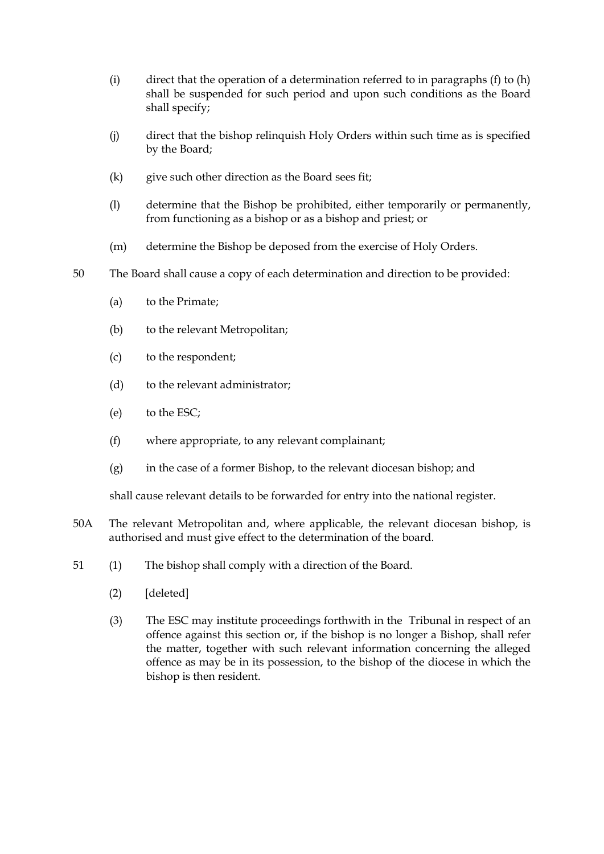- (i) direct that the operation of a determination referred to in paragraphs  $(f)$  to  $(h)$ shall be suspended for such period and upon such conditions as the Board shall specify;
- (j) direct that the bishop relinquish Holy Orders within such time as is specified by the Board;
- (k) give such other direction as the Board sees fit;
- (l) determine that the Bishop be prohibited, either temporarily or permanently, from functioning as a bishop or as a bishop and priest; or
- (m) determine the Bishop be deposed from the exercise of Holy Orders.
- 50 The Board shall cause a copy of each determination and direction to be provided:
	- (a) to the Primate;
	- (b) to the relevant Metropolitan;
	- (c) to the respondent;
	- (d) to the relevant administrator;
	- (e) to the ESC;
	- (f) where appropriate, to any relevant complainant;
	- (g) in the case of a former Bishop, to the relevant diocesan bishop; and

shall cause relevant details to be forwarded for entry into the national register.

- 50A The relevant Metropolitan and, where applicable, the relevant diocesan bishop, is authorised and must give effect to the determination of the board.
- 51 (1) The bishop shall comply with a direction of the Board.
	- (2) [deleted]
	- (3) The ESC may institute proceedings forthwith in the Tribunal in respect of an offence against this section or, if the bishop is no longer a Bishop, shall refer the matter, together with such relevant information concerning the alleged offence as may be in its possession, to the bishop of the diocese in which the bishop is then resident.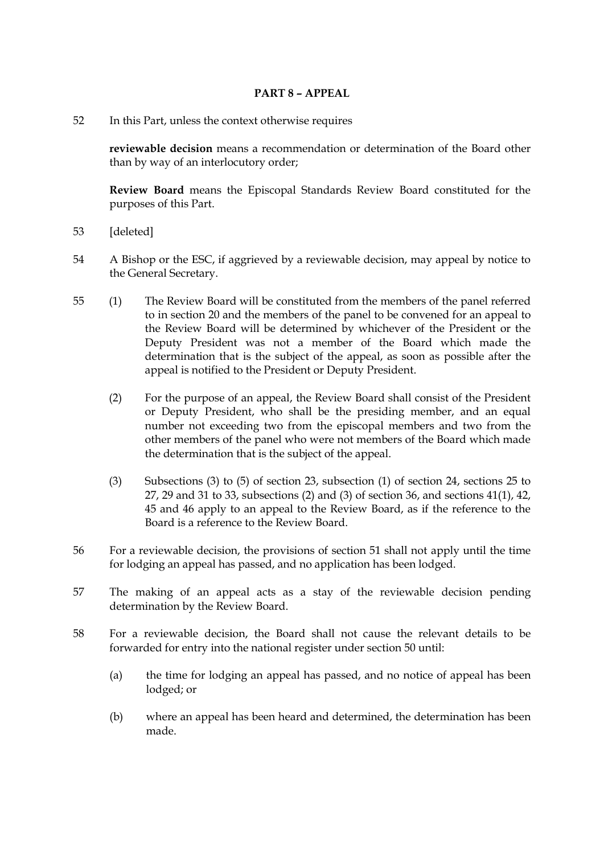## **PART 8 – APPEAL**

52 In this Part, unless the context otherwise requires

**reviewable decision** means a recommendation or determination of the Board other than by way of an interlocutory order;

**Review Board** means the Episcopal Standards Review Board constituted for the purposes of this Part.

- 53 [deleted]
- 54 A Bishop or the ESC, if aggrieved by a reviewable decision, may appeal by notice to the General Secretary.
- 55 (1) The Review Board will be constituted from the members of the panel referred to in section 20 and the members of the panel to be convened for an appeal to the Review Board will be determined by whichever of the President or the Deputy President was not a member of the Board which made the determination that is the subject of the appeal, as soon as possible after the appeal is notified to the President or Deputy President.
	- (2) For the purpose of an appeal, the Review Board shall consist of the President or Deputy President, who shall be the presiding member, and an equal number not exceeding two from the episcopal members and two from the other members of the panel who were not members of the Board which made the determination that is the subject of the appeal.
	- (3) Subsections (3) to (5) of section 23, subsection (1) of section 24, sections 25 to 27, 29 and 31 to 33, subsections (2) and (3) of section 36, and sections 41(1), 42, 45 and 46 apply to an appeal to the Review Board, as if the reference to the Board is a reference to the Review Board.
- 56 For a reviewable decision, the provisions of section 51 shall not apply until the time for lodging an appeal has passed, and no application has been lodged.
- 57 The making of an appeal acts as a stay of the reviewable decision pending determination by the Review Board.
- 58 For a reviewable decision, the Board shall not cause the relevant details to be forwarded for entry into the national register under section 50 until:
	- (a) the time for lodging an appeal has passed, and no notice of appeal has been lodged; or
	- (b) where an appeal has been heard and determined, the determination has been made.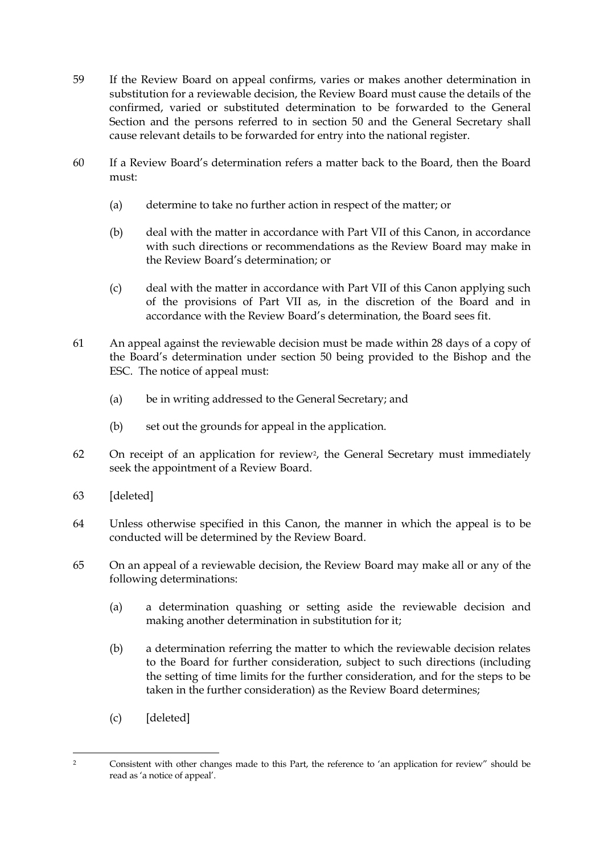- 59 If the Review Board on appeal confirms, varies or makes another determination in substitution for a reviewable decision, the Review Board must cause the details of the confirmed, varied or substituted determination to be forwarded to the General Section and the persons referred to in section 50 and the General Secretary shall cause relevant details to be forwarded for entry into the national register.
- 60 If a Review Board's determination refers a matter back to the Board, then the Board must:
	- (a) determine to take no further action in respect of the matter; or
	- (b) deal with the matter in accordance with Part VII of this Canon, in accordance with such directions or recommendations as the Review Board may make in the Review Board's determination; or
	- (c) deal with the matter in accordance with Part VII of this Canon applying such of the provisions of Part VII as, in the discretion of the Board and in accordance with the Review Board's determination, the Board sees fit.
- 61 An appeal against the reviewable decision must be made within 28 days of a copy of the Board's determination under section 50 being provided to the Bishop and the ESC. The notice of appeal must:
	- (a) be in writing addressed to the General Secretary; and
	- (b) set out the grounds for appeal in the application.
- 62 On receipt of an application for review2, the General Secretary must immediately seek the appointment of a Review Board.
- 63 [deleted]
- 64 Unless otherwise specified in this Canon, the manner in which the appeal is to be conducted will be determined by the Review Board.
- 65 On an appeal of a reviewable decision, the Review Board may make all or any of the following determinations:
	- (a) a determination quashing or setting aside the reviewable decision and making another determination in substitution for it;
	- (b) a determination referring the matter to which the reviewable decision relates to the Board for further consideration, subject to such directions (including the setting of time limits for the further consideration, and for the steps to be taken in the further consideration) as the Review Board determines;
	- (c) [deleted]

<sup>-</sup><sup>2</sup> Consistent with other changes made to this Part, the reference to 'an application for review" should be read as 'a notice of appeal'.